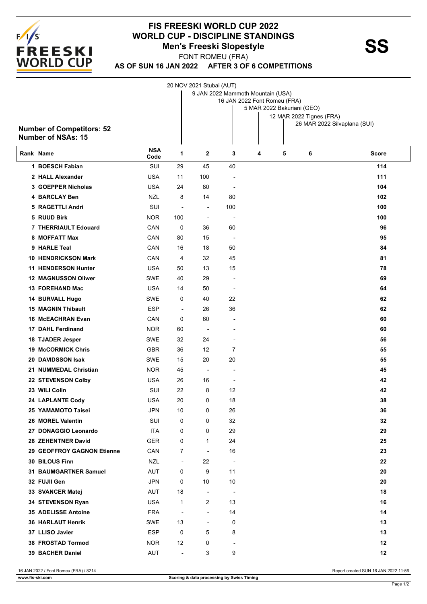

## **FIS FREESKI WORLD CUP 2022 WORLD CUP - DISCIPLINE STANDINGS<br>Men's Freeski Slopestyle Men's Freeski Slopestyle**

FONT ROMEU (FRA)

20 NOV 2021 Stubai (AUT)

**AS OF SUN 16 JAN 2022 AFTER 3 OF 6 COMPETITIONS**

| <b>Number of Competitors: 52</b><br><b>Number of NSAs: 15</b> |                    |                          |                          |                          | 9 JAN 2022 Mammoth Mountain (USA)<br>16 JAN 2022 Font Romeu (FRA)<br>5 MAR 2022 Bakuriani (GEO) |   | 12 MAR 2022 Tignes (FRA)<br>26 MAR 2022 Silvaplana (SUI) |              |
|---------------------------------------------------------------|--------------------|--------------------------|--------------------------|--------------------------|-------------------------------------------------------------------------------------------------|---|----------------------------------------------------------|--------------|
| Rank Name                                                     | <b>NSA</b><br>Code | 1                        | $\mathbf{2}$             | 3                        | 4                                                                                               | 5 | 6                                                        | <b>Score</b> |
| 1 BOESCH Fabian                                               | SUI                | 29                       | 45                       | 40                       |                                                                                                 |   |                                                          | 114          |
| 2 HALL Alexander                                              | <b>USA</b>         | 11                       | 100                      | ÷                        |                                                                                                 |   |                                                          | 111          |
| 3 GOEPPER Nicholas                                            | USA                | 24                       | 80                       | $\overline{\phantom{a}}$ |                                                                                                 |   |                                                          | 104          |
| 4 BARCLAY Ben                                                 | NZL                | 8                        | 14                       | 80                       |                                                                                                 |   |                                                          | 102          |
| 5 RAGETTLI Andri                                              | SUI                | $\overline{\phantom{a}}$ | $\blacksquare$           | 100                      |                                                                                                 |   |                                                          | 100          |
| 5 RUUD Birk                                                   | <b>NOR</b>         | 100                      | $\overline{\phantom{a}}$ | $\overline{\phantom{a}}$ |                                                                                                 |   |                                                          | 100          |
| 7 THERRIAULT Edouard                                          | CAN                | 0                        | 36                       | 60                       |                                                                                                 |   |                                                          | 96           |
| 8 MOFFATT Max                                                 | CAN                | 80                       | 15                       | $\overline{\phantom{a}}$ |                                                                                                 |   |                                                          | 95           |
| 9 HARLE Teal                                                  | CAN                | 16                       | 18                       | 50                       |                                                                                                 |   |                                                          | 84           |
| <b>10 HENDRICKSON Mark</b>                                    | CAN                | 4                        | 32                       | 45                       |                                                                                                 |   |                                                          | 81           |
| <b>11 HENDERSON Hunter</b>                                    | <b>USA</b>         | 50                       | 13                       | 15                       |                                                                                                 |   |                                                          | 78           |
| <b>12 MAGNUSSON Oliwer</b>                                    | SWE                | 40                       | 29                       | $\overline{a}$           |                                                                                                 |   |                                                          | 69           |
| 13 FOREHAND Mac                                               | <b>USA</b>         | 14                       | 50                       | $\overline{\phantom{a}}$ |                                                                                                 |   |                                                          | 64           |
| 14 BURVALL Hugo                                               | SWE                | 0                        | 40                       | 22                       |                                                                                                 |   |                                                          | 62           |
| <b>15 MAGNIN Thibault</b>                                     | <b>ESP</b>         | $\overline{\phantom{a}}$ | 26                       | 36                       |                                                                                                 |   |                                                          | 62           |
| <b>16 McEACHRAN Evan</b>                                      | CAN                | 0                        | 60                       |                          |                                                                                                 |   |                                                          | 60           |
| <b>17 DAHL Ferdinand</b>                                      | <b>NOR</b>         | 60                       | $\blacksquare$           | $\blacksquare$           |                                                                                                 |   |                                                          | 60           |
| 18 TJADER Jesper                                              | <b>SWE</b>         | 32                       | 24                       | $\overline{\phantom{a}}$ |                                                                                                 |   |                                                          | 56           |
| <b>19 McCORMICK Chris</b>                                     | <b>GBR</b>         | 36                       | 12                       | 7                        |                                                                                                 |   |                                                          | 55           |
| <b>20 DAVIDSSON Isak</b>                                      | <b>SWE</b>         | 15                       | 20                       | 20                       |                                                                                                 |   |                                                          | 55           |
| 21 NUMMEDAL Christian                                         | <b>NOR</b>         | 45                       | $\blacksquare$           | $\overline{\phantom{a}}$ |                                                                                                 |   |                                                          | 45           |
| 22 STEVENSON Colby                                            | <b>USA</b>         | 26                       | 16                       | $\overline{\phantom{a}}$ |                                                                                                 |   |                                                          | 42           |
| 23 WILI Colin                                                 | SUI                | 22                       | 8                        | 12                       |                                                                                                 |   |                                                          | 42           |
| 24 LAPLANTE Cody                                              | <b>USA</b>         | 20                       | 0                        | 18                       |                                                                                                 |   |                                                          | 38           |
| 25 YAMAMOTO Taisei                                            | JPN                | 10                       | $\mathbf 0$              | $26\,$                   |                                                                                                 |   |                                                          | 36           |
| 26 MOREL Valentin                                             | SUI                | 0                        | 0                        | 32                       |                                                                                                 |   |                                                          | 32           |
| 27 DONAGGIO Leonardo                                          | <b>ITA</b>         | 0                        | 0                        | 29                       |                                                                                                 |   |                                                          | 29           |
| 28 ZEHENTNER David                                            | <b>GER</b>         | 0                        | 1                        | 24                       |                                                                                                 |   |                                                          | 25           |
| 29 GEOFFROY GAGNON Etienne                                    | CAN                | 7                        | ÷,                       | 16                       |                                                                                                 |   |                                                          | 23           |
| 30 BILOUS Finn                                                | <b>NZL</b>         | $\overline{\phantom{a}}$ | 22                       | $\overline{\phantom{a}}$ |                                                                                                 |   |                                                          | 22           |
| 31 BAUMGARTNER Samuel                                         | AUT                | 0                        | 9                        | 11                       |                                                                                                 |   |                                                          | 20           |
| 32 FUJII Gen                                                  | JPN                | 0                        | 10                       | 10                       |                                                                                                 |   |                                                          | 20           |
| 33 SVANCER Matej                                              | <b>AUT</b>         | 18                       |                          | $\overline{\phantom{a}}$ |                                                                                                 |   |                                                          | 18           |
| 34 STEVENSON Ryan                                             | <b>USA</b>         | 1                        | 2                        | 13                       |                                                                                                 |   |                                                          | 16           |
| <b>35 ADELISSE Antoine</b>                                    | <b>FRA</b>         | $\overline{\phantom{a}}$ | $\overline{\phantom{a}}$ | 14                       |                                                                                                 |   |                                                          | 14           |
| <b>36 HARLAUT Henrik</b>                                      | <b>SWE</b>         | 13                       | $\blacksquare$           | 0                        |                                                                                                 |   |                                                          | 13           |
| 37 LLISO Javier                                               | <b>ESP</b>         | 0                        | 5                        | 8                        |                                                                                                 |   |                                                          | 13           |
| 38 FROSTAD Tormod                                             | <b>NOR</b>         | 12                       | 0                        | ÷                        |                                                                                                 |   |                                                          | 12           |
| 39 BACHER Daniel                                              | <b>AUT</b>         | $\overline{\phantom{a}}$ | 3                        | 9                        |                                                                                                 |   |                                                          | 12           |

16 JAN 2022 / Font Romeu (FRA) / 8214 Report created SUN 16 JAN 2022 11:56